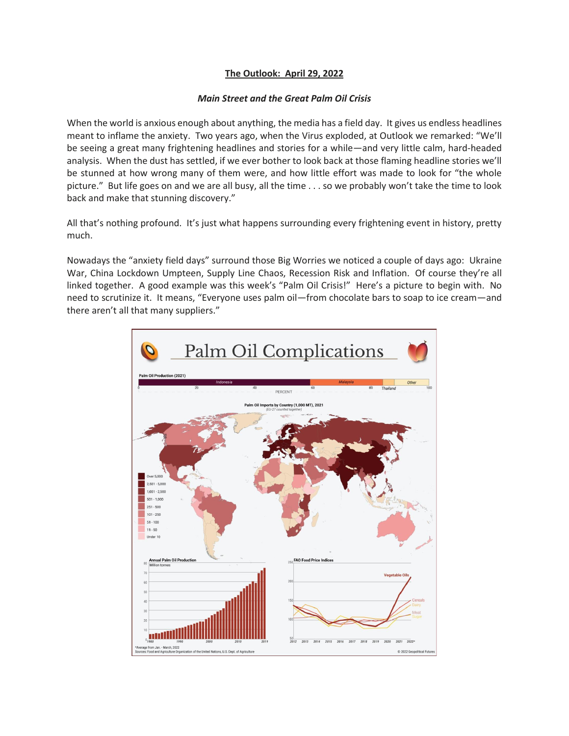## **The Outlook: April 29, 2022**

## *Main Street and the Great Palm Oil Crisis*

When the world is anxious enough about anything, the media has a field day. It gives us endless headlines meant to inflame the anxiety. Two years ago, when the Virus exploded, at Outlook we remarked: "We'll be seeing a great many frightening headlines and stories for a while—and very little calm, hard-headed analysis. When the dust has settled, if we ever bother to look back at those flaming headline stories we'll be stunned at how wrong many of them were, and how little effort was made to look for "the whole picture." But life goes on and we are all busy, all the time . . . so we probably won't take the time to look back and make that stunning discovery."

All that's nothing profound. It's just what happens surrounding every frightening event in history, pretty much.

Nowadays the "anxiety field days" surround those Big Worries we noticed a couple of days ago: Ukraine War, China Lockdown Umpteen, Supply Line Chaos, Recession Risk and Inflation. Of course they're all linked together. A good example was this week's "Palm Oil Crisis!" Here's a picture to begin with. No need to scrutinize it. It means, "Everyone uses palm oil—from chocolate bars to soap to ice cream—and there aren't all that many suppliers."